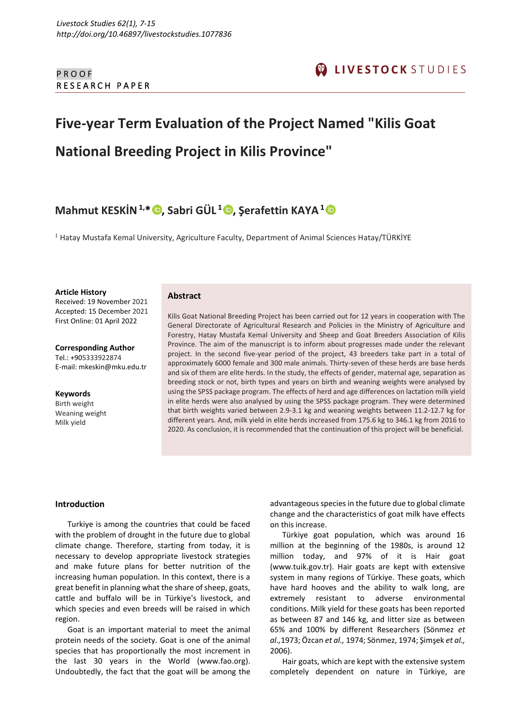# **Five-year Term Evaluation of the Project Named "Kilis Goat National Breeding Project in Kilis Province"**

# **Mahmut KESKİN1,\* [,](https://orcid.org/0000-0002-8147-2477) Sabri GÜL <sup>1</sup> [,](https://orcid.org/0000-0001-6787-8190) Şerafettin KAYA<sup>1</sup>**

<sup>1</sup> Hatay Mustafa Kemal University, Agriculture Faculty, Department of Animal Sciences Hatay/TÜRKİYE

**Article History**

Received: 19 November 2021 Accepted: 15 December 2021 First Online: 01 April 2022

**Corresponding Author** Tel.: +905333922874 E-mail[: mkeskin@mku.edu.tr](mailto:mkeskin@mku.edu.tr)

**Keywords** Birth weight Weaning weight Milk yield

# **Abstract**

Kilis Goat National Breeding Project has been carried out for 12 years in cooperation with The General Directorate of Agricultural Research and Policies in the Ministry of Agriculture and Forestry, Hatay Mustafa Kemal University and Sheep and Goat Breeders Association of Kilis Province. The aim of the manuscript is to inform about progresses made under the relevant project. In the second five-year period of the project, 43 breeders take part in a total of approximately 6000 female and 300 male animals. Thirty-seven of these herds are base herds and six of them are elite herds. In the study, the effects of gender, maternal age, separation as breeding stock or not, birth types and years on birth and weaning weights were analysed by using the SPSS package program. The effects of herd and age differences on lactation milk yield in elite herds were also analysed by using the SPSS package program. They were determined that birth weights varied between 2.9-3.1 kg and weaning weights between 11.2-12.7 kg for different years. And, milk yield in elite herds increased from 175.6 kg to 346.1 kg from 2016 to 2020. As conclusion, it is recommended that the continuation of this project will be beneficial.

## **Introduction**

Turkiye is among the countries that could be faced with the problem of drought in the future due to global climate change. Therefore, starting from today, it is necessary to develop appropriate livestock strategies and make future plans for better nutrition of the increasing human population. In this context, there is a great benefit in planning what the share of sheep, goats, cattle and buffalo will be in Türkiye's livestock, and which species and even breeds will be raised in which region.

Goat is an important material to meet the animal protein needs of the society. Goat is one of the animal species that has proportionally the most increment in the last 30 years in the World [\(www.fao.org\)](http://www.fao.org/). Undoubtedly, the fact that the goat will be among the advantageous species in the future due to global climate change and the characteristics of goat milk have effects on this increase.

Türkiye goat population, which was around 16 million at the beginning of the 1980s, is around 12 million today, and 97% of it is Hair goat [\(www.tuik.gov.tr\)](http://www.tuik.gov.tr/). Hair goats are kept with extensive system in many regions of Türkiye. These goats, which have hard hooves and the ability to walk long, are extremely resistant to adverse environmental conditions. Milk yield for these goats has been reported as between 87 and 146 kg, and litter size as between 65% and 100% by different Researchers (Sönmez *et al.,*1973; Özcan *et al.,* 1974; Sönmez, 1974; Şimşek *et al.,* 2006).

Hair goats, which are kept with the extensive system completely dependent on nature in Türkiye, are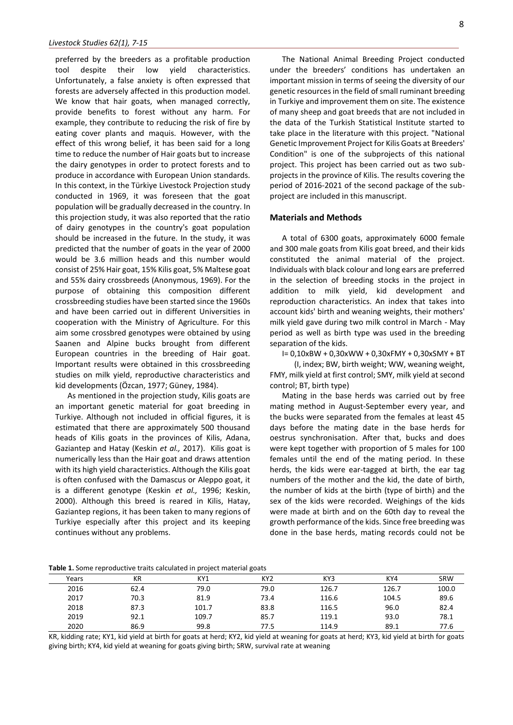preferred by the breeders as a profitable production tool despite their low yield characteristics. Unfortunately, a false anxiety is often expressed that forests are adversely affected in this production model. We know that hair goats, when managed correctly, provide benefits to forest without any harm. For example, they contribute to reducing the risk of fire by eating cover plants and maquis. However, with the effect of this wrong belief, it has been said for a long time to reduce the number of Hair goats but to increase the dairy genotypes in order to protect forests and to produce in accordance with European Union standards. In this context, in the Türkiye Livestock Projection study conducted in 1969, it was foreseen that the goat population will be gradually decreased in the country. In this projection study, it was also reported that the ratio of dairy genotypes in the country's goat population should be increased in the future. In the study, it was predicted that the number of goats in the year of 2000 would be 3.6 million heads and this number would consist of 25% Hair goat, 15% Kilis goat, 5% Maltese goat and 55% dairy crossbreeds (Anonymous, 1969). For the purpose of obtaining this composition different crossbreeding studies have been started since the 1960s and have been carried out in different Universities in cooperation with the Ministry of Agriculture. For this aim some crossbred genotypes were obtained by using Saanen and Alpine bucks brought from different European countries in the breeding of Hair goat. Important results were obtained in this crossbreeding studies on milk yield, reproductive characteristics and kid developments (Özcan, 1977; Güney, 1984).

As mentioned in the projection study, Kilis goats are an important genetic material for goat breeding in Turkiye. Although not included in official figures, it is estimated that there are approximately 500 thousand heads of Kilis goats in the provinces of Kilis, Adana, Gaziantep and Hatay (Keskin *et al.,* 2017). Kilis goat is numerically less than the Hair goat and draws attention with its high yield characteristics. Although the Kilis goat is often confused with the Damascus or Aleppo goat, it is a different genotype (Keskin *et al.,* 1996; Keskin, 2000). Although this breed is reared in Kilis, Hatay, Gaziantep regions, it has been taken to many regions of Turkiye especially after this project and its keeping continues without any problems.

The National Animal Breeding Project conducted under the breeders' conditions has undertaken an important mission in terms of seeing the diversity of our genetic resources in the field of small ruminant breeding in Turkiye and improvement them on site. The existence of many sheep and goat breeds that are not included in the data of the Turkish Statistical Institute started to take place in the literature with this project. "National Genetic Improvement Project for Kilis Goats at Breeders' Condition" is one of the subprojects of this national project. This project has been carried out as two subprojects in the province of Kilis. The results covering the period of 2016-2021 of the second package of the subproject are included in this manuscript.

#### **Materials and Methods**

A total of 6300 goats, approximately 6000 female and 300 male goats from Kilis goat breed, and their kids constituted the animal material of the project. Individuals with black colour and long ears are preferred in the selection of breeding stocks in the project in addition to milk yield, kid development and reproduction characteristics. An index that takes into account kids' birth and weaning weights, their mothers' milk yield gave during two milk control in March - May period as well as birth type was used in the breeding separation of the kids.

I= 0,10xBW + 0,30xWW + 0,30xFMY + 0,30xSMY + BT

(I, index; BW, birth weight; WW, weaning weight, FMY, milk yield at first control; SMY, milk yield at second control; BT, birth type)

Mating in the base herds was carried out by free mating method in August-September every year, and the bucks were separated from the females at least 45 days before the mating date in the base herds for oestrus synchronisation. After that, bucks and does were kept together with proportion of 5 males for 100 females until the end of the mating period. In these herds, the kids were ear-tagged at birth, the ear tag numbers of the mother and the kid, the date of birth, the number of kids at the birth (type of birth) and the sex of the kids were recorded. Weighings of the kids were made at birth and on the 60th day to reveal the growth performance of the kids. Since free breeding was done in the base herds, mating records could not be

**Table 1.** Some reproductive traits calculated in project material goats

|       |      |       | ີ               |       |       |            |
|-------|------|-------|-----------------|-------|-------|------------|
| Years | КR   | KY1   | KY <sub>2</sub> | KY3   | KY4   | <b>SRW</b> |
| 2016  | 62.4 | 79.0  | 79.0            | 126.7 | 126.7 | 100.0      |
| 2017  | 70.3 | 81.9  | 73.4            | 116.6 | 104.5 | 89.6       |
| 2018  | 87.3 | 101.7 | 83.8            | 116.5 | 96.0  | 82.4       |
| 2019  | 92.1 | 109.7 | 85.7            | 119.1 | 93.0  | 78.1       |
| 2020  | 86.9 | 99.8  | 77.5            | 114.9 | 89.1  | 77.6       |

KR, kidding rate; KY1, kid yield at birth for goats at herd; KY2, kid yield at weaning for goats at herd; KY3, kid yield at birth for goats giving birth; KY4, kid yield at weaning for goats giving birth; SRW, survival rate at weaning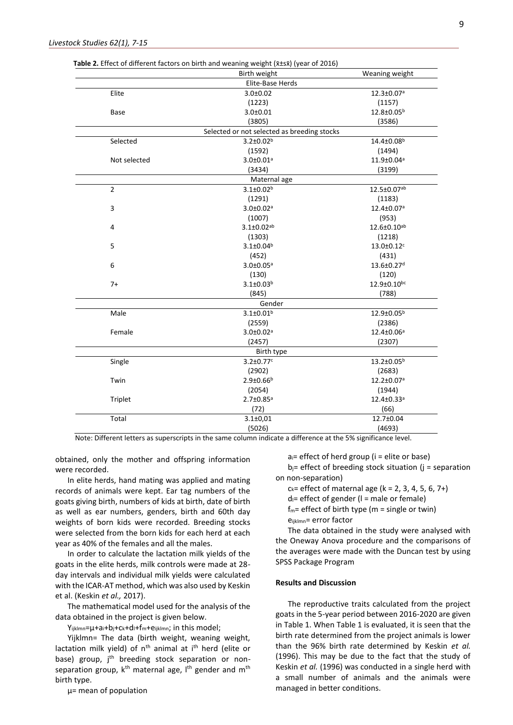|                | Birth weight                                | Weaning weight               |
|----------------|---------------------------------------------|------------------------------|
|                | Elite-Base Herds                            |                              |
| Elite          | $3.0 \pm 0.02$                              | 12.3±0.07ª                   |
|                | (1223)                                      | (1157)                       |
| Base           | $3.0 + 0.01$                                | 12.8±0.05 <sup>b</sup>       |
|                | (3805)                                      | (3586)                       |
|                | Selected or not selected as breeding stocks |                              |
| Selected       | $3.2 \pm 0.02^b$                            | 14.4±0.08 <sup>b</sup>       |
|                | (1592)                                      | (1494)                       |
| Not selected   | $3.0 \pm 0.01$ <sup>a</sup>                 | 11.9±0.04ª                   |
|                | (3434)                                      | (3199)                       |
|                | Maternal age                                |                              |
| $\overline{2}$ | $3.1 \pm 0.02^b$                            | 12.5±0.07ab                  |
|                | (1291)                                      | (1183)                       |
| 3              | $3.0 \pm 0.02a$                             | 12.4±0.07ª                   |
|                | (1007)                                      | (953)                        |
| 4              | $3.1 \pm 0.02^{ab}$                         | 12.6±0.10ab                  |
|                | (1303)                                      | (1218)                       |
| 5              | $3.1 \pm 0.04^b$                            | $13.0 \pm 0.12$ <sup>c</sup> |
|                | (452)                                       | (431)                        |
| 6              | $3.0 \pm 0.05$ <sup>a</sup>                 | 13.6±0.27 <sup>d</sup>       |
|                | (130)                                       | (120)                        |
| $7+$           | $3.1 \pm 0.03^b$                            | 12.9±0.10bc                  |
|                | (845)                                       | (788)                        |
|                | Gender                                      |                              |
| Male           | $3.1 \pm 0.01^b$                            | 12.9±0.05 <sup>b</sup>       |
|                | (2559)                                      | (2386)                       |
| Female         | $3.0 \pm 0.02$ <sup>a</sup>                 | 12.4±0.06 <sup>a</sup>       |
|                | (2457)                                      | (2307)                       |
|                | Birth type                                  |                              |
| Single         | $3.2 \pm 0.77$ <sup>c</sup>                 | $13.2 \pm 0.05^b$            |
|                | (2902)                                      | (2683)                       |
| Twin           | $2.9 \pm 0.66^b$                            | 12.2±0.07 <sup>a</sup>       |
|                | (2054)                                      | (1944)                       |
| Triplet        | $2.7 \pm 0.85$ <sup>a</sup>                 | 12.4±0.33ª                   |
|                | (72)                                        | (66)                         |
| Total          | $3.1 \pm 0.01$                              | 12.7±0.04                    |
|                | (5026)                                      | (4693)                       |

**Table 2.** Effect of different factors on birth and weaning weight  $(\bar{x} + s\bar{x})$  (year of 2016)

obtained, only the mother and offspring information were recorded.

In elite herds, hand mating was applied and mating records of animals were kept. Ear tag numbers of the goats giving birth, numbers of kids at birth, date of birth as well as ear numbers, genders, birth and 60th day weights of born kids were recorded. Breeding stocks were selected from the born kids for each herd at each year as 40% of the females and all the males.

In order to calculate the lactation milk yields of the goats in the elite herds, milk controls were made at 28 day intervals and individual milk yields were calculated with the ICAR-AT method, which was also used by Keskin et al. (Keskin *et al.,* 2017).

The mathematical model used for the analysis of the data obtained in the project is given below.

Yijklmn=µ+ai+bj+ck+dl+fm+eijklmn; in this model;

Yijklmn= The data (birth weight, weaning weight, lactation milk yield) of n<sup>th</sup> animal at i<sup>th</sup> herd (elite or base) group, j<sup>th</sup> breeding stock separation or nonseparation group, k<sup>th</sup> maternal age, I<sup>th</sup> gender and m<sup>th</sup> birth type.

µ= mean of population

 $a_i$ = effect of herd group ( $i$  = elite or base)  $b_j$ = effect of breeding stock situation (j = separation on non-separation)

 $c_k$ = effect of maternal age (k = 2, 3, 4, 5, 6, 7+)

 $d =$  effect of gender ( $l =$  male or female)

 $f_m$ = effect of birth type (m = single or twin)

eijklmn= error factor

The data obtained in the study were analysed with the Oneway Anova procedure and the comparisons of the averages were made with the Duncan test by using SPSS Package Program

#### **Results and Discussion**

The reproductive traits calculated from the project goats in the 5-year period between 2016-2020 are given in Table 1. When Table 1 is evaluated, it is seen that the birth rate determined from the project animals is lower than the 96% birth rate determined by Keskin *et al.* (1996). This may be due to the fact that the study of Keskin *et al.* (1996) was conducted in a single herd with a small number of animals and the animals were managed in better conditions.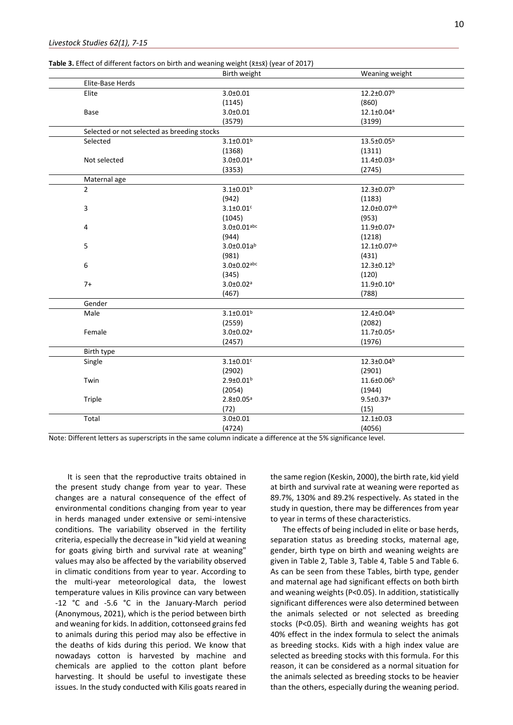| <b>Table 3.</b> Effect of different factors on birth and weaning weight $(\bar{x} \pm s\bar{x})$ (year of 2017) |  |
|-----------------------------------------------------------------------------------------------------------------|--|
|-----------------------------------------------------------------------------------------------------------------|--|

|                                             | Birth weight                | Weaning weight               |
|---------------------------------------------|-----------------------------|------------------------------|
| Elite-Base Herds                            |                             |                              |
| Elite                                       | $3.0 + 0.01$                | 12.2±0.07 <sup>b</sup>       |
|                                             | (1145)                      | (860)                        |
| <b>Base</b>                                 | $3.0 \pm 0.01$              | 12.1±0.04 <sup>a</sup>       |
|                                             | (3579)                      | (3199)                       |
| Selected or not selected as breeding stocks |                             |                              |
| Selected                                    | $3.1 \pm 0.01^b$            | $13.5 \pm 0.05^b$            |
|                                             | (1368)                      | (1311)                       |
| Not selected                                | $3.0 \pm 0.01$ <sup>a</sup> | $11.4 \pm 0.03$ <sup>a</sup> |
|                                             | (3353)                      | (2745)                       |
| Maternal age                                |                             |                              |
| $\overline{2}$                              | $3.1 \pm 0.01^b$            | 12.3±0.07 <sup>b</sup>       |
|                                             | (942)                       | (1183)                       |
| 3                                           | $3.1 \pm 0.01$ c            | 12.0±0.07ab                  |
|                                             | (1045)                      | (953)                        |
| 4                                           | $3.0 \pm 0.01$ abc          | 11.9±0.07ª                   |
|                                             | (944)                       | (1218)                       |
| 5                                           | $3.0 \pm 0.01a^{b}$         | 12.1±0.07ab                  |
|                                             | (981)                       | (431)                        |
| 6                                           | $3.0 \pm 0.02$ abc          | $12.3 \pm 0.12^b$            |
|                                             | (345)                       | (120)                        |
| $7+$                                        | $3.0 \pm 0.02$ <sup>a</sup> | $11.9 \pm 0.10^a$            |
|                                             | (467)                       | (788)                        |
| Gender                                      |                             |                              |
| Male                                        | $3.1 \pm 0.01^b$            | 12.4±0.04 <sup>b</sup>       |
|                                             | (2559)                      | (2082)                       |
| Female                                      | $3.0 \pm 0.02$ <sup>a</sup> | 11.7±0.05 <sup>a</sup>       |
|                                             | (2457)                      | (1976)                       |
| Birth type                                  |                             |                              |
| Single                                      | $3.1 \pm 0.01$ <sup>c</sup> | 12.3±0.04 <sup>b</sup>       |
|                                             | (2902)                      | (2901)                       |
| Twin                                        | $2.9 \pm 0.01^b$            | 11.6±0.06 <sup>b</sup>       |
|                                             | (2054)                      | (1944)                       |
| Triple                                      | $2.8 \pm 0.05^a$            | $9.5 \pm 0.37$ <sup>a</sup>  |
|                                             | (72)                        | (15)                         |
| Total                                       | $3.0 + 0.01$                | $12.1 \pm 0.03$              |
|                                             | (4724)                      | (4056)                       |

It is seen that the reproductive traits obtained in the present study change from year to year. These changes are a natural consequence of the effect of environmental conditions changing from year to year in herds managed under extensive or semi-intensive conditions. The variability observed in the fertility criteria, especially the decrease in "kid yield at weaning for goats giving birth and survival rate at weaning" values may also be affected by the variability observed in climatic conditions from year to year. According to the multi-year meteorological data, the lowest temperature values in Kilis province can vary between -12 °C and -5.6 °C in the January-March period (Anonymous, 2021), which is the period between birth and weaning for kids. In addition, cottonseed grains fed to animals during this period may also be effective in the deaths of kids during this period. We know that nowadays cotton is harvested by machine and chemicals are applied to the cotton plant before harvesting. It should be useful to investigate these issues. In the study conducted with Kilis goats reared in

the same region (Keskin, 2000), the birth rate, kid yield at birth and survival rate at weaning were reported as 89.7%, 130% and 89.2% respectively. As stated in the study in question, there may be differences from year to year in terms of these characteristics.

The effects of being included in elite or base herds, separation status as breeding stocks, maternal age, gender, birth type on birth and weaning weights are given in Table 2, Table 3, Table 4, Table 5 and Table 6. As can be seen from these Tables, birth type, gender and maternal age had significant effects on both birth and weaning weights (P<0.05). In addition, statistically significant differences were also determined between the animals selected or not selected as breeding stocks (P<0.05). Birth and weaning weights has got 40% effect in the index formula to select the animals as breeding stocks. Kids with a high index value are selected as breeding stocks with this formula. For this reason, it can be considered as a normal situation for the animals selected as breeding stocks to be heavier than the others, especially during the weaning period.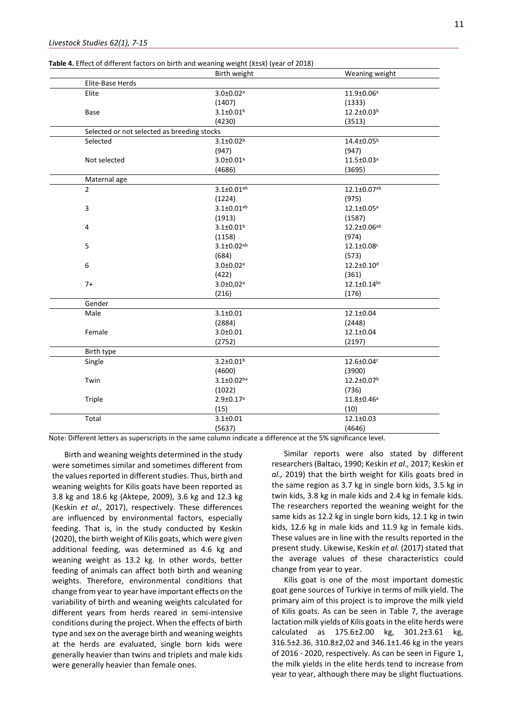| <b>Table 4.</b> Effect of different factors on birth and weaning weight ( $\bar{x}$ ±s $\bar{x}$ ) (year of 2018) |  |
|-------------------------------------------------------------------------------------------------------------------|--|
|-------------------------------------------------------------------------------------------------------------------|--|

|                                             | Birth weight                 | Weaning weight               |
|---------------------------------------------|------------------------------|------------------------------|
| Elite-Base Herds                            |                              |                              |
| Elite                                       | $3.0 \pm 0.02$ <sup>a</sup>  | 11.9±0.06 <sup>a</sup>       |
|                                             | (1407)                       | (1333)                       |
| Base                                        | $3.1 \pm 0.01^b$             | 12.2±0.03 <sup>b</sup>       |
|                                             | (4230)                       | (3513)                       |
| Selected or not selected as breeding stocks |                              |                              |
| Selected                                    | $3.1 \pm 0.02^b$             | 14.4±0.05 <sup>b</sup>       |
|                                             | (947)                        | (947)                        |
| Not selected                                | $3.0 \pm 0.01$ <sup>a</sup>  | 11.5±0.03 <sup>a</sup>       |
|                                             | (4686)                       | (3695)                       |
| Maternal age                                |                              |                              |
| $\overline{2}$                              | $3.1 \pm 0.01^{ab}$          | $12.1 \pm 0.07^{ab}$         |
|                                             | (1224)                       | (975)                        |
| 3                                           | $3.1 \pm 0.01$ <sup>ab</sup> | $12.1 \pm 0.05$ <sup>a</sup> |
|                                             | (1913)                       | (1587)                       |
| 4                                           | $3.1 \pm 0.01$ <sup>b</sup>  | 12.2±0.06ab                  |
|                                             | (1158)                       | (974)                        |
| 5                                           | $3.1 \pm 0.02^{ab}$          | $12.1 \pm 0.08$ <sup>c</sup> |
|                                             | (684)                        | (573)                        |
| 6                                           | $3.0 \pm 0.02$ <sup>a</sup>  | $12.2 \pm 0.10^d$            |
|                                             | (422)                        | (361)                        |
| $7+$                                        | $3.0 \pm 0.02$ <sup>a</sup>  | $12.1 \pm 0.14^{bc}$         |
|                                             | (216)                        | (176)                        |
| Gender                                      |                              |                              |
| Male                                        | $3.1 \pm 0.01$               | $12.1 \pm 0.04$              |
|                                             | (2884)                       | (2448)                       |
| Female                                      | $3.0 \pm 0.01$               | 12.1±0.04                    |
|                                             | (2752)                       | (2197)                       |
| Birth type                                  |                              |                              |
| Single                                      | $3.2 \pm 0.01^b$             | 12.6±0.04c                   |
|                                             | (4600)                       | (3900)                       |
| Twin                                        | $3.1 \pm 0.02$ ba            | 12.2±0.07 <sup>b</sup>       |
|                                             | (1022)                       | (736)                        |
| Triple                                      | $2.9 \pm 0.17$ <sup>a</sup>  | 11.8±0.46 <sup>a</sup>       |
|                                             | (15)                         | (10)                         |
| Total                                       | $3.1 \pm 0.01$               | 12.1±0.03                    |
|                                             | (5637)                       | (4646)                       |

Birth and weaning weights determined in the study were sometimes similar and sometimes different from the values reported in different studies. Thus, birth and weaning weights for Kilis goats have been reported as 3.8 kg and 18.6 kg (Aktepe, 2009), 3.6 kg and 12.3 kg (Keskin *et al.,* 2017), respectively. These differences are influenced by environmental factors, especially feeding. That is, in the study conducted by Keskin (2020), the birth weight of Kilis goats, which were given additional feeding, was determined as 4.6 kg and weaning weight as 13.2 kg. In other words, better feeding of animals can affect both birth and weaning weights. Therefore, environmental conditions that change from year to year have important effects on the variability of birth and weaning weights calculated for different years from herds reared in semi-intensive conditions during the project. When the effects of birth type and sex on the average birth and weaning weights at the herds are evaluated, single born kids were generally heavier than twins and triplets and male kids were generally heavier than female ones.

Similar reports were also stated by different researchers (Baltacı, 1990; Keskin *et al.,* 2017; Keskin e*t al.,* 2019) that the birth weight for Kilis goats bred in the same region as 3.7 kg in single born kids, 3.5 kg in twin kids, 3.8 kg in male kids and 2.4 kg in female kids. The researchers reported the weaning weight for the same kids as 12.2 kg in single born kids, 12.1 kg in twin kids, 12.6 kg in male kids and 11.9 kg in female kids. These values are in line with the results reported in the present study. Likewise, Keskin *et al.* (2017) stated that the average values of these characteristics could change from year to year.

Kilis goat is one of the most important domestic goat gene sources of Turkiye in terms of milk yield. The primary aim of this project is to improve the milk yield of Kilis goats. As can be seen in Table 7, the average lactation milk yields of Kilis goats in the elite herds were calculated as 175.6±2.00 kg, 301.2±3.61 kg, 316.5±2.36, 310.8±2,02 and 346.1±1.46 kg in the years of 2016 - 2020, respectively. As can be seen in Figure 1, the milk yields in the elite herds tend to increase from year to year, although there may be slight fluctuations.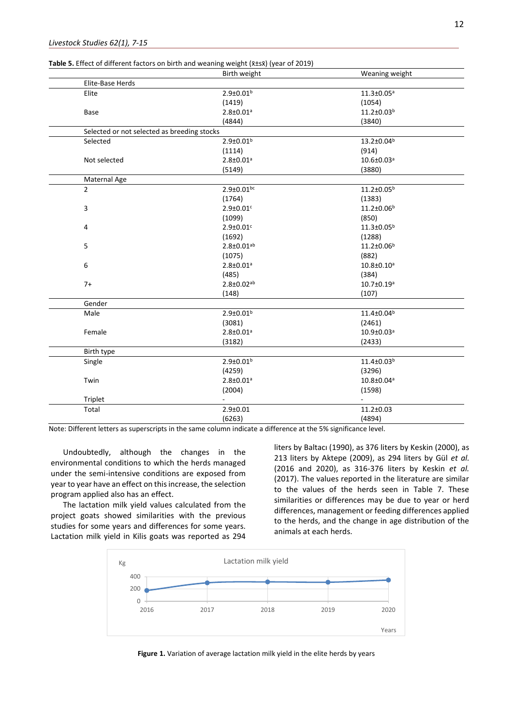|                                             | Birth weight                | Weaning weight         |
|---------------------------------------------|-----------------------------|------------------------|
| Elite-Base Herds                            |                             |                        |
| Elite                                       | $2.9 \pm 0.01^b$            | $11.3 \pm 0.05^a$      |
|                                             | (1419)                      | (1054)                 |
| <b>Base</b>                                 | $2.8 \pm 0.01$ <sup>a</sup> | 11.2±0.03 <sup>b</sup> |
|                                             | (4844)                      | (3840)                 |
| Selected or not selected as breeding stocks |                             |                        |
| Selected                                    | $2.9 \pm 0.01^b$            | 13.2±0.04 <sup>b</sup> |
|                                             | (1114)                      | (914)                  |
| Not selected                                | $2.8 \pm 0.01$ <sup>a</sup> | 10.6±0.03ª             |
|                                             | (5149)                      | (3880)                 |
| Maternal Age                                |                             |                        |
| $\overline{2}$                              | $2.9 \pm 0.01$ bc           | $11.2 \pm 0.05^b$      |
|                                             | (1764)                      | (1383)                 |
| 3                                           | $2.9 \pm 0.01$ c            | 11.2±0.06 <sup>b</sup> |
|                                             | (1099)                      | (850)                  |
| 4                                           | $2.9 \pm 0.01$ c            | 11.3±0.05 <sup>b</sup> |
|                                             | (1692)                      | (1288)                 |
| 5                                           | $2.8 \pm 0.01^{ab}$         | 11.2±0.06 <sup>b</sup> |
|                                             | (1075)                      | (882)                  |
| 6                                           | $2.8 \pm 0.01$ <sup>a</sup> | $10.8 \pm 0.10^a$      |
|                                             | (485)                       | (384)                  |
| $7+$                                        | $2.8 \pm 0.02^{ab}$         | $10.7 \pm 0.19^a$      |
|                                             | (148)                       | (107)                  |
| Gender                                      |                             |                        |
| Male                                        | $2.9 \pm 0.01^b$            | 11.4±0.04 <sup>b</sup> |
|                                             | (3081)                      | (2461)                 |
| Female                                      | $2.8 \pm 0.01$ <sup>a</sup> | 10.9±0.03ª             |
|                                             | (3182)                      | (2433)                 |
| Birth type                                  |                             |                        |
| Single                                      | $2.9 \pm 0.01^b$            | $11.4 \pm 0.03^b$      |
|                                             | (4259)                      | (3296)                 |
| Twin                                        | $2.8 \pm 0.01$ <sup>a</sup> | 10.8±0.04 <sup>a</sup> |
|                                             | (2004)                      | (1598)                 |
| Triplet                                     |                             |                        |
| Total                                       | $2.9 + 0.01$                | $11.2 \pm 0.03$        |
|                                             | (6263)                      | (4894)                 |

**Table 5.** Effect of different factors on birth and weaning weight ( $\bar{x}$ +sx) (year of 2019)

Undoubtedly, although the changes in the environmental conditions to which the herds managed under the semi-intensive conditions are exposed from year to year have an effect on this increase, the selection program applied also has an effect.

The lactation milk yield values calculated from the project goats showed similarities with the previous studies for some years and differences for some years. Lactation milk yield in Kilis goats was reported as 294

liters by Baltacı (1990), as 376 liters by Keskin (2000), as 213 liters by Aktepe (2009), as 294 liters by Gül *et al.* (2016 and 2020), as 316-376 liters by Keskin *et al.* (2017). The values reported in the literature are similar to the values of the herds seen in Table 7. These similarities or differences may be due to year or herd differences, management or feeding differences applied to the herds, and the change in age distribution of the animals at each herds.



**Figure 1.** Variation of average lactation milk yield in the elite herds by years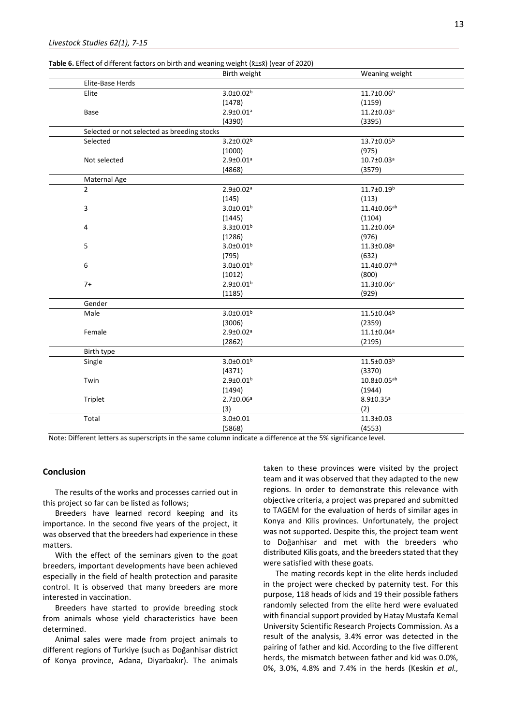|                                             | Birth weight                | Weaning weight               |
|---------------------------------------------|-----------------------------|------------------------------|
| Elite-Base Herds                            |                             |                              |
| Elite                                       | $3.0 \pm 0.02$ <sup>b</sup> | 11.7±0.06 <sup>b</sup>       |
|                                             | (1478)                      | (1159)                       |
| <b>Base</b>                                 | $2.9 \pm 0.01$ <sup>a</sup> | $11.2 \pm 0.03$ <sup>a</sup> |
|                                             | (4390)                      | (3395)                       |
| Selected or not selected as breeding stocks |                             |                              |
| Selected                                    | $3.2 \pm 0.02^b$            | 13.7±0.05 <sup>b</sup>       |
|                                             | (1000)                      | (975)                        |
| Not selected                                | $2.9 \pm 0.01$ <sup>a</sup> | 10.7±0.03 <sup>a</sup>       |
|                                             | (4868)                      | (3579)                       |
| Maternal Age                                |                             |                              |
| $\overline{2}$                              | $2.9 \pm 0.02$ <sup>a</sup> | 11.7±0.19 <sup>b</sup>       |
|                                             | (145)                       | (113)                        |
| 3                                           | $3.0 \pm 0.01$ <sup>b</sup> | 11.4±0.06ab                  |
|                                             | (1445)                      | (1104)                       |
| 4                                           | $3.3 \pm 0.01^b$            | $11.2 \pm 0.06^a$            |
|                                             | (1286)                      | (976)                        |
| 5                                           | $3.0 \pm 0.01^b$            | $11.3 \pm 0.08^a$            |
|                                             | (795)                       | (632)                        |
| 6                                           | $3.0 \pm 0.01^b$            | 11.4±0.07ab                  |
|                                             | (1012)                      | (800)                        |
| $7+$                                        | $2.9 \pm 0.01^b$            | $11.3 \pm 0.06^a$            |
|                                             | (1185)                      | (929)                        |
| Gender                                      |                             |                              |
| Male                                        | $3.0 \pm 0.01^b$            | 11.5±0.04 <sup>b</sup>       |
|                                             | (3006)                      | (2359)                       |
| Female                                      | $2.9 \pm 0.02$ <sup>a</sup> | $11.1 \pm 0.04^a$            |
|                                             | (2862)                      | (2195)                       |
| Birth type                                  |                             |                              |
| Single                                      | $3.0 \pm 0.01^b$            | 11.5±0.03 <sup>b</sup>       |
|                                             | (4371)                      | (3370)                       |
| Twin                                        | $2.9 \pm 0.01^b$            | 10.8±0.05ab                  |
|                                             | (1494)                      | (1944)                       |

(3)

(5868)

## **Conclusion**

The results of the works and processes carried out in this project so far can be listed as follows;

Triplet 2.7±0.06<sup>a</sup>

Total 3.0±0.01

Breeders have learned record keeping and its importance. In the second five years of the project, it was observed that the breeders had experience in these matters.

With the effect of the seminars given to the goat breeders, important developments have been achieved especially in the field of health protection and parasite control. It is observed that many breeders are more interested in vaccination.

Breeders have started to provide breeding stock from animals whose yield characteristics have been determined.

Animal sales were made from project animals to different regions of Turkiye (such as Doğanhisar district of Konya province, Adana, Diyarbakır). The animals

taken to these provinces were visited by the project team and it was observed that they adapted to the new regions. In order to demonstrate this relevance with objective criteria, a project was prepared and submitted to TAGEM for the evaluation of herds of similar ages in Konya and Kilis provinces. Unfortunately, the project was not supported. Despite this, the project team went to Doğanhisar and met with the breeders who distributed Kilis goats, and the breeders stated that they were satisfied with these goats.

8.9±0.35<sup>a</sup>  $(2)$ 

11.3±0.03 (4553)

The mating records kept in the elite herds included in the project were checked by paternity test. For this purpose, 118 heads of kids and 19 their possible fathers randomly selected from the elite herd were evaluated with financial support provided by Hatay Mustafa Kemal University Scientific Research Projects Commission. As a result of the analysis, 3.4% error was detected in the pairing of father and kid. According to the five different herds, the mismatch between father and kid was 0.0%, 0%, 3.0%, 4.8% and 7.4% in the herds (Keskin *et al.,*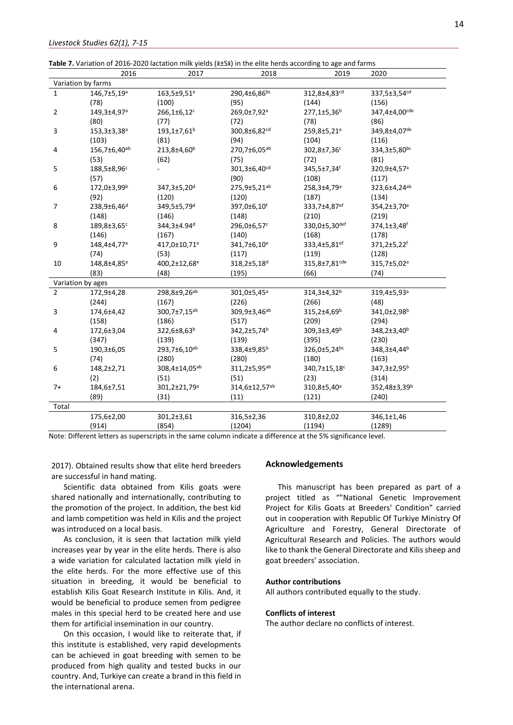| Table 7. Variation of 2016-2020 lactation milk yields ( $\bar{x}$ ±Sx̃) in the elite herds according to age and farms |  |  |
|-----------------------------------------------------------------------------------------------------------------------|--|--|
|-----------------------------------------------------------------------------------------------------------------------|--|--|

|                    | 2016                    | 2017                      | 2018                     | 2019                          | 2020                     |  |
|--------------------|-------------------------|---------------------------|--------------------------|-------------------------------|--------------------------|--|
| Variation by farms |                         |                           |                          |                               |                          |  |
| $\mathbf{1}$       | 146,7±5,19 <sup>a</sup> | 163,5±9,51ª               | 290,4±6,86bc             | 312,8±4,83cd                  | 337,5±3,54cd             |  |
|                    | (78)                    | (100)                     | (95)                     | (144)                         | (156)                    |  |
| $\overline{2}$     | 149,3±4,97ª             | 266,1±6,12c               | 269,0±7,92 <sup>a</sup>  | 277,1±5,36 <sup>b</sup>       | 347,4±4,00cde            |  |
|                    | (80)                    | (77)                      | (72)                     | (78)                          | (86)                     |  |
| 3                  | 153,3±3,38ª             | 193,1±7,61 <sup>b</sup>   | 300,8±6,82cd             | 259,8±5,21ª                   | 349,8±4,07de             |  |
|                    | (103)                   | (81)                      | (94)                     | (104)                         | (116)                    |  |
| 4                  | 156,7±6,40ab            | 213,8±4,60 <sup>b</sup>   | 270,7±6,05ab             | 302,8±7,36c                   | 334,3±5,80bc             |  |
|                    | (53)                    | (62)                      | (75)                     | (72)                          | (81)                     |  |
| 5                  | 188,5±8,96 <sup>c</sup> |                           | 301,3±6,40 <sup>cd</sup> | 345,5±7,34f                   | 320,9±4,57ª              |  |
|                    | (57)                    |                           | (90)                     | (108)                         | (117)                    |  |
| 6                  | 172,0±3,99 <sup>b</sup> | 347,3±5,20 <sup>d</sup>   | 275,9±5,21ab             | 258,3±4,79 <sup>a</sup>       | 323,6±4,24 <sup>ab</sup> |  |
|                    | (92)                    | (120)                     | (120)                    | (187)                         | (134)                    |  |
| 7                  | 238,9±6,46 <sup>d</sup> | 349,5±5,79d               | 397,0±6,10f              | 333,7±4,87 <sup>ef</sup>      | 354,2±3,70 <sup>e</sup>  |  |
|                    | (148)                   | (146)                     | (148)                    | (210)                         | (219)                    |  |
| 8                  | 189,8±3,65 <sup>c</sup> | 344,3±4.94 <sup>d</sup>   | 296,0±6,57c              | $330,0{\pm}5,30^{\text{def}}$ | 374,1±3,48f              |  |
|                    | (146)                   | (167)                     | (140)                    | (168)                         | (178)                    |  |
| 9                  | 148,4±4,77ª             | 417,0±10,71 <sup>e</sup>  | 341,7±6,10 <sup>e</sup>  | 333,4±5,81 <sup>ef</sup>      | 371,2±5,22f              |  |
|                    | (74)                    | (53)                      | (117)                    | (119)                         | (128)                    |  |
| 10                 | 148,8±4,85ª             | 400,2±12,68 <sup>e</sup>  | 318,2±5,18 <sup>d</sup>  | 315,8±7,81 <sup>cde</sup>     | 315,7±5,02 <sup>a</sup>  |  |
|                    | (83)                    | (48)                      | (195)                    | (66)                          | (74)                     |  |
| Variation by ages  |                         |                           |                          |                               |                          |  |
| $\overline{2}$     | 172,9±4,28              | 298,8±9,26 <sup>ab</sup>  | 301,0±5,45 <sup>a</sup>  | 314,3±4,32 <sup>b</sup>       | 319,4±5,93 <sup>a</sup>  |  |
|                    | (244)                   | (167)                     | (226)                    | (266)                         | (48)                     |  |
| 3                  | 174,6±4,42              | 300,7±7,15ab              | 309,9±3,46 <sup>ab</sup> | 315,2±4,69b                   | 341,0±2,98 <sup>b</sup>  |  |
|                    | (158)                   | (186)                     | (517)                    | (209)                         | (294)                    |  |
| 4                  | 172,6±3,04              | 322,6±8,63 <sup>b</sup>   | 342,2±5,74 <sup>b</sup>  | $309,3{\pm}3,49^{\rm b}$      | 348,2±3,40 <sup>b</sup>  |  |
|                    | (347)                   | (139)                     | (139)                    | (395)                         | (230)                    |  |
| 5                  | 190,3±6,05              | 293,7±6,10ab              | 338,4±9,85 <sup>b</sup>  | 326,0±5,24bc                  | 348,3±4,44 <sup>b</sup>  |  |
|                    | (74)                    | (280)                     | (280)                    | (180)                         | (163)                    |  |
| 6                  | 148,2±2,71              | 308,4±14,05 <sup>ab</sup> | 311,2±5,95 <sup>ab</sup> | 340,7±15,18 <sup>c</sup>      | 347,3±2,95 <sup>b</sup>  |  |
|                    | (2)                     | (51)                      | (51)                     | (23)                          | (314)                    |  |
| $7+$               | 184,6±7,51              | 301,2±21,79 <sup>a</sup>  | 314,6±12,57ab            | 310,8±5,40 <sup>a</sup>       | 352,48±3,39 <sup>b</sup> |  |
|                    | (89)                    | (31)                      | (11)                     | (121)                         | (240)                    |  |
| Total              |                         |                           |                          |                               |                          |  |
|                    | 175,6±2,00              | 301,2±3,61                | 316,5±2,36               | 310,8±2,02                    | 346,1±1,46               |  |
|                    | (914)                   | (854)                     | (1204)                   | (1194)                        | (1289)                   |  |
|                    |                         |                           |                          |                               |                          |  |

2017). Obtained results show that elite herd breeders are successful in hand mating.

Scientific data obtained from Kilis goats were shared nationally and internationally, contributing to the promotion of the project. In addition, the best kid and lamb competition was held in Kilis and the project was introduced on a local basis.

As conclusion, it is seen that lactation milk yield increases year by year in the elite herds. There is also a wide variation for calculated lactation milk yield in the elite herds. For the more effective use of this situation in breeding, it would be beneficial to establish Kilis Goat Research Institute in Kilis. And, it would be beneficial to produce semen from pedigree males in this special herd to be created here and use them for artificial insemination in our country.

On this occasion, I would like to reiterate that, if this institute is established, very rapid developments can be achieved in goat breeding with semen to be produced from high quality and tested bucks in our country. And, Turkiye can create a brand in this field in the international arena.

#### **Acknowledgements**

This manuscript has been prepared as part of a project titled as ""National Genetic Improvement Project for Kilis Goats at Breeders' Condition" carried out in cooperation with [Republic](https://www.tarimorman.gov.tr/TAGEM/Sayfalar/EN/AnaSayfa.aspx) Of Turkiye Ministry Of Agriculture and Forestry, General [Directorate](https://www.tarimorman.gov.tr/TAGEM/Sayfalar/EN/AnaSayfa.aspx) of [Agricultural](https://www.tarimorman.gov.tr/TAGEM/Sayfalar/EN/AnaSayfa.aspx) Research and Policies. The authors would like to thank the General Directorate and Kilis sheep and goat breeders' association.

#### **Author contributions**

All authors contributed equally to the study.

#### **Conflicts of interest**

The author declare no conflicts of interest.